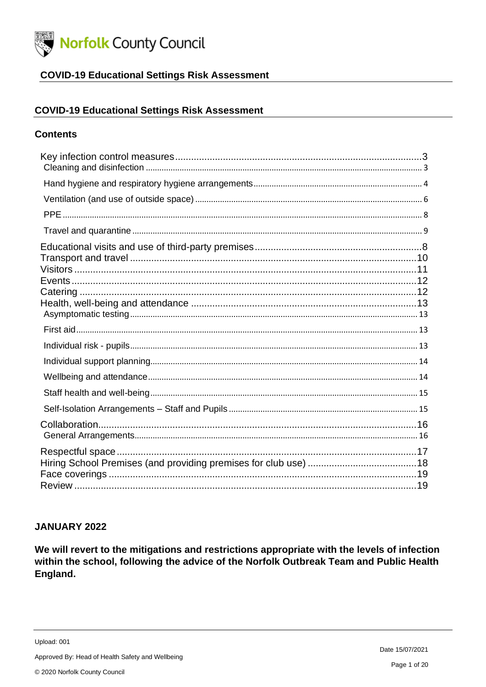

#### **COVID-19 Educational Settings Risk Assessment**

#### **COVID-19 Educational Settings Risk Assessment**

#### **Contents**

#### **JANUARY 2022**

We will revert to the mitigations and restrictions appropriate with the levels of infection within the school, following the advice of the Norfolk Outbreak Team and Public Health England.

Upload: 001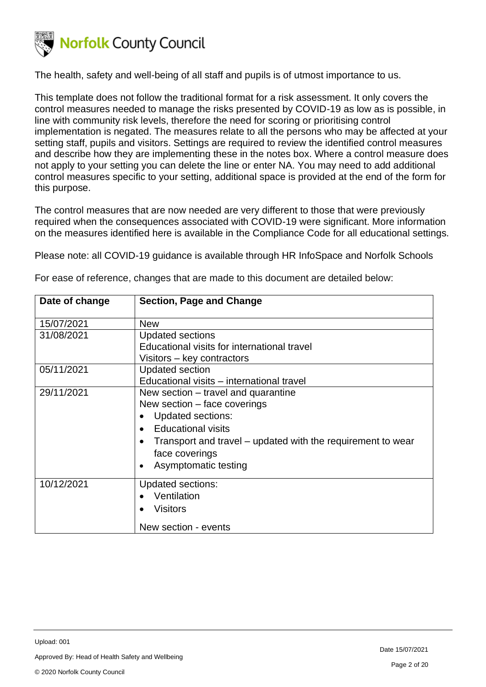

The health, safety and well-being of all staff and pupils is of utmost importance to us.

This template does not follow the traditional format for a risk assessment. It only covers the control measures needed to manage the risks presented by COVID-19 as low as is possible, in line with community risk levels, therefore the need for scoring or prioritising control implementation is negated. The measures relate to all the persons who may be affected at your setting staff, pupils and visitors. Settings are required to review the identified control measures and describe how they are implementing these in the notes box. Where a control measure does not apply to your setting you can delete the line or enter NA. You may need to add additional control measures specific to your setting, additional space is provided at the end of the form for this purpose.

The control measures that are now needed are very different to those that were previously required when the consequences associated with COVID-19 were significant. More information on the measures identified here is available in the Compliance Code for all educational settings.

Please note: all COVID-19 guidance is available through HR InfoSpace and Norfolk Schools

| Date of change | <b>Section, Page and Change</b>                             |
|----------------|-------------------------------------------------------------|
| 15/07/2021     | <b>New</b>                                                  |
| 31/08/2021     | <b>Updated sections</b>                                     |
|                | Educational visits for international travel                 |
|                | Visitors – key contractors                                  |
| 05/11/2021     | <b>Updated section</b>                                      |
|                | Educational visits - international travel                   |
| 29/11/2021     | New section – travel and quarantine                         |
|                | New section – face coverings                                |
|                | <b>Updated sections:</b><br>$\bullet$                       |
|                | <b>Educational visits</b><br>$\bullet$                      |
|                | Transport and travel – updated with the requirement to wear |
|                | face coverings                                              |
|                | Asymptomatic testing<br>$\bullet$                           |
| 10/12/2021     | <b>Updated sections:</b>                                    |
|                | Ventilation                                                 |
|                |                                                             |
|                | <b>Visitors</b>                                             |
|                | New section - events                                        |

For ease of reference, changes that are made to this document are detailed below: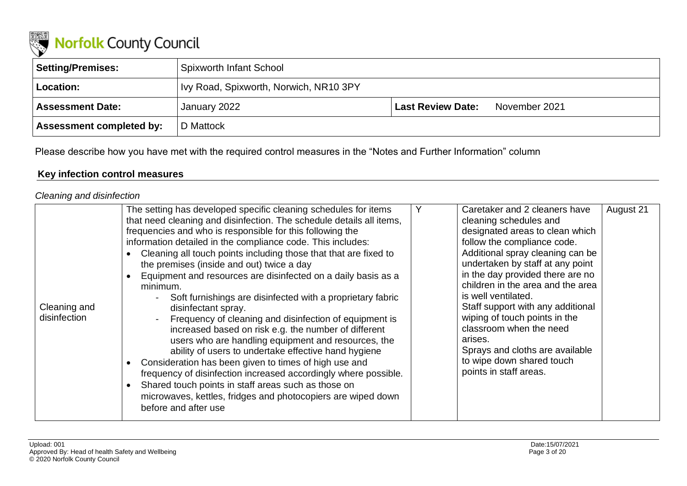

| Setting/Premises:               | <b>Spixworth Infant School</b>         |                          |               |
|---------------------------------|----------------------------------------|--------------------------|---------------|
| Location:                       | Ivy Road, Spixworth, Norwich, NR10 3PY |                          |               |
| <b>Assessment Date:</b>         | January 2022                           | <b>Last Review Date:</b> | November 2021 |
| <b>Assessment completed by:</b> | D Mattock                              |                          |               |

Please describe how you have met with the required control measures in the "Notes and Further Information" column

#### **Key infection control measures**

#### *Cleaning and disinfection*

| Cleaning and<br>disinfection | The setting has developed specific cleaning schedules for items<br>that need cleaning and disinfection. The schedule details all items,<br>frequencies and who is responsible for this following the<br>information detailed in the compliance code. This includes:<br>Cleaning all touch points including those that that are fixed to<br>the premises (inside and out) twice a day<br>Equipment and resources are disinfected on a daily basis as a<br>minimum.<br>Soft furnishings are disinfected with a proprietary fabric<br>disinfectant spray.<br>Frequency of cleaning and disinfection of equipment is<br>increased based on risk e.g. the number of different<br>users who are handling equipment and resources, the<br>ability of users to undertake effective hand hygiene<br>Consideration has been given to times of high use and<br>frequency of disinfection increased accordingly where possible.<br>Shared touch points in staff areas such as those on<br>microwaves, kettles, fridges and photocopiers are wiped down<br>before and after use |  | Caretaker and 2 cleaners have<br>cleaning schedules and<br>designated areas to clean which<br>follow the compliance code.<br>Additional spray cleaning can be<br>undertaken by staff at any point<br>in the day provided there are no<br>children in the area and the area<br>is well ventilated.<br>Staff support with any additional<br>wiping of touch points in the<br>classroom when the need<br>arises.<br>Sprays and cloths are available<br>to wipe down shared touch<br>points in staff areas. | August 21 |
|------------------------------|--------------------------------------------------------------------------------------------------------------------------------------------------------------------------------------------------------------------------------------------------------------------------------------------------------------------------------------------------------------------------------------------------------------------------------------------------------------------------------------------------------------------------------------------------------------------------------------------------------------------------------------------------------------------------------------------------------------------------------------------------------------------------------------------------------------------------------------------------------------------------------------------------------------------------------------------------------------------------------------------------------------------------------------------------------------------|--|---------------------------------------------------------------------------------------------------------------------------------------------------------------------------------------------------------------------------------------------------------------------------------------------------------------------------------------------------------------------------------------------------------------------------------------------------------------------------------------------------------|-----------|
|------------------------------|--------------------------------------------------------------------------------------------------------------------------------------------------------------------------------------------------------------------------------------------------------------------------------------------------------------------------------------------------------------------------------------------------------------------------------------------------------------------------------------------------------------------------------------------------------------------------------------------------------------------------------------------------------------------------------------------------------------------------------------------------------------------------------------------------------------------------------------------------------------------------------------------------------------------------------------------------------------------------------------------------------------------------------------------------------------------|--|---------------------------------------------------------------------------------------------------------------------------------------------------------------------------------------------------------------------------------------------------------------------------------------------------------------------------------------------------------------------------------------------------------------------------------------------------------------------------------------------------------|-----------|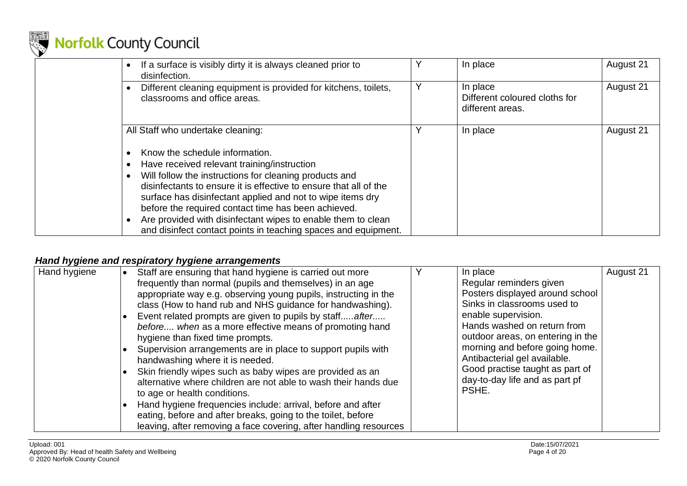

| If a surface is visibly dirty it is always cleaned prior to<br>disinfection.                                                                                                                                                                                                                                                                                                                                                                                        |   | In place                                                      | August 21 |
|---------------------------------------------------------------------------------------------------------------------------------------------------------------------------------------------------------------------------------------------------------------------------------------------------------------------------------------------------------------------------------------------------------------------------------------------------------------------|---|---------------------------------------------------------------|-----------|
| Different cleaning equipment is provided for kitchens, toilets,<br>classrooms and office areas.                                                                                                                                                                                                                                                                                                                                                                     | Y | In place<br>Different coloured cloths for<br>different areas. | August 21 |
| All Staff who undertake cleaning:                                                                                                                                                                                                                                                                                                                                                                                                                                   |   | In place                                                      | August 21 |
| Know the schedule information.<br>Have received relevant training/instruction<br>Will follow the instructions for cleaning products and<br>disinfectants to ensure it is effective to ensure that all of the<br>surface has disinfectant applied and not to wipe items dry<br>before the required contact time has been achieved.<br>Are provided with disinfectant wipes to enable them to clean<br>and disinfect contact points in teaching spaces and equipment. |   |                                                               |           |

#### *Hand hygiene and respiratory hygiene arrangements*

| leaving, after removing a face covering, after handling resources |  | Hand hygiene | Staff are ensuring that hand hygiene is carried out more<br>frequently than normal (pupils and themselves) in an age<br>appropriate way e.g. observing young pupils, instructing in the<br>class (How to hand rub and NHS guidance for handwashing).<br>Event related prompts are given to pupils by staffafter<br>before when as a more effective means of promoting hand<br>hygiene than fixed time prompts.<br>Supervision arrangements are in place to support pupils with<br>handwashing where it is needed.<br>Skin friendly wipes such as baby wipes are provided as an<br>alternative where children are not able to wash their hands due<br>to age or health conditions.<br>Hand hygiene frequencies include: arrival, before and after<br>eating, before and after breaks, going to the toilet, before |  | In place<br>Regular reminders given<br>Posters displayed around school<br>Sinks in classrooms used to<br>enable supervision.<br>Hands washed on return from<br>outdoor areas, on entering in the<br>morning and before going home.<br>Antibacterial gel available.<br>Good practise taught as part of<br>day-to-day life and as part pf<br>PSHE. | August 21 |
|-------------------------------------------------------------------|--|--------------|------------------------------------------------------------------------------------------------------------------------------------------------------------------------------------------------------------------------------------------------------------------------------------------------------------------------------------------------------------------------------------------------------------------------------------------------------------------------------------------------------------------------------------------------------------------------------------------------------------------------------------------------------------------------------------------------------------------------------------------------------------------------------------------------------------------|--|--------------------------------------------------------------------------------------------------------------------------------------------------------------------------------------------------------------------------------------------------------------------------------------------------------------------------------------------------|-----------|
|-------------------------------------------------------------------|--|--------------|------------------------------------------------------------------------------------------------------------------------------------------------------------------------------------------------------------------------------------------------------------------------------------------------------------------------------------------------------------------------------------------------------------------------------------------------------------------------------------------------------------------------------------------------------------------------------------------------------------------------------------------------------------------------------------------------------------------------------------------------------------------------------------------------------------------|--|--------------------------------------------------------------------------------------------------------------------------------------------------------------------------------------------------------------------------------------------------------------------------------------------------------------------------------------------------|-----------|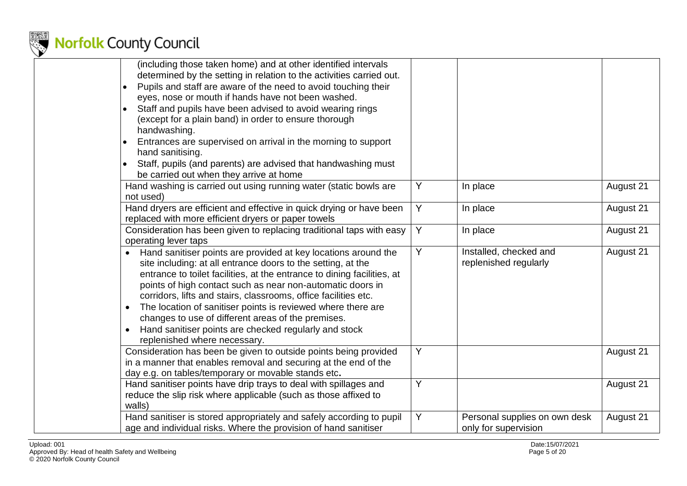

| (including those taken home) and at other identified intervals<br>determined by the setting in relation to the activities carried out.<br>Pupils and staff are aware of the need to avoid touching their<br>$\bullet$<br>eyes, nose or mouth if hands have not been washed.<br>Staff and pupils have been advised to avoid wearing rings<br>(except for a plain band) in order to ensure thorough<br>handwashing.<br>Entrances are supervised on arrival in the morning to support<br>hand sanitising.<br>Staff, pupils (and parents) are advised that handwashing must<br>be carried out when they arrive at home |   |                                                       |           |
|--------------------------------------------------------------------------------------------------------------------------------------------------------------------------------------------------------------------------------------------------------------------------------------------------------------------------------------------------------------------------------------------------------------------------------------------------------------------------------------------------------------------------------------------------------------------------------------------------------------------|---|-------------------------------------------------------|-----------|
| Hand washing is carried out using running water (static bowls are<br>not used)                                                                                                                                                                                                                                                                                                                                                                                                                                                                                                                                     | Y | In place                                              | August 21 |
| Hand dryers are efficient and effective in quick drying or have been<br>replaced with more efficient dryers or paper towels                                                                                                                                                                                                                                                                                                                                                                                                                                                                                        | Y | In place                                              | August 21 |
| Consideration has been given to replacing traditional taps with easy<br>operating lever taps                                                                                                                                                                                                                                                                                                                                                                                                                                                                                                                       | Y | In place                                              | August 21 |
| Hand sanitiser points are provided at key locations around the<br>site including: at all entrance doors to the setting, at the<br>entrance to toilet facilities, at the entrance to dining facilities, at<br>points of high contact such as near non-automatic doors in<br>corridors, lifts and stairs, classrooms, office facilities etc.<br>The location of sanitiser points is reviewed where there are<br>$\bullet$<br>changes to use of different areas of the premises.<br>Hand sanitiser points are checked regularly and stock<br>replenished where necessary.                                             | Y | Installed, checked and<br>replenished regularly       | August 21 |
| Consideration has been be given to outside points being provided<br>in a manner that enables removal and securing at the end of the<br>day e.g. on tables/temporary or movable stands etc.                                                                                                                                                                                                                                                                                                                                                                                                                         | Y |                                                       | August 21 |
| Hand sanitiser points have drip trays to deal with spillages and<br>reduce the slip risk where applicable (such as those affixed to<br>walls)                                                                                                                                                                                                                                                                                                                                                                                                                                                                      | Y |                                                       | August 21 |
| Hand sanitiser is stored appropriately and safely according to pupil<br>age and individual risks. Where the provision of hand sanitiser                                                                                                                                                                                                                                                                                                                                                                                                                                                                            | Y | Personal supplies on own desk<br>only for supervision | August 21 |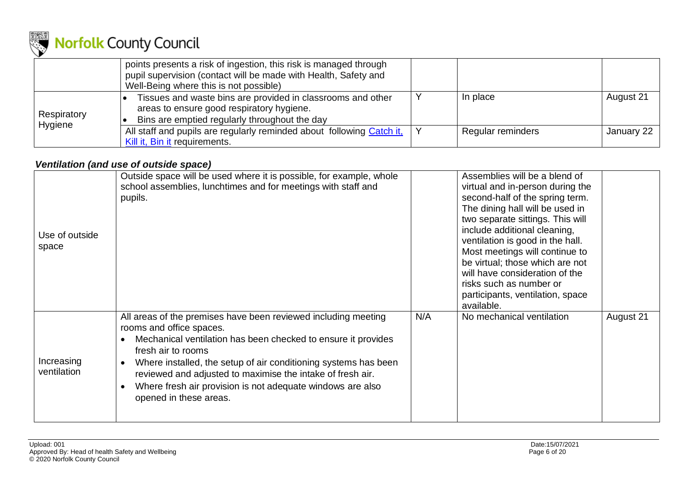

|             | points presents a risk of ingestion, this risk is managed through<br>pupil supervision (contact will be made with Health, Safety and<br>Well-Being where this is not possible) |                   |            |
|-------------|--------------------------------------------------------------------------------------------------------------------------------------------------------------------------------|-------------------|------------|
| Respiratory | Tissues and waste bins are provided in classrooms and other<br>areas to ensure good respiratory hygiene.<br>Bins are emptied regularly throughout the day                      | In place          | August 21  |
| Hygiene     | All staff and pupils are regularly reminded about following Catch it,<br>Kill it, Bin it requirements.                                                                         | Regular reminders | January 22 |

#### *Ventilation (and use of outside space)*

| Use of outside<br>space   | Outside space will be used where it is possible, for example, whole<br>school assemblies, lunchtimes and for meetings with staff and<br>pupils.                                                                                                                                                                                                                                                            |     | Assemblies will be a blend of<br>virtual and in-person during the<br>second-half of the spring term.<br>The dining hall will be used in<br>two separate sittings. This will<br>include additional cleaning,<br>ventilation is good in the hall.<br>Most meetings will continue to<br>be virtual; those which are not<br>will have consideration of the<br>risks such as number or<br>participants, ventilation, space<br>available. |           |
|---------------------------|------------------------------------------------------------------------------------------------------------------------------------------------------------------------------------------------------------------------------------------------------------------------------------------------------------------------------------------------------------------------------------------------------------|-----|-------------------------------------------------------------------------------------------------------------------------------------------------------------------------------------------------------------------------------------------------------------------------------------------------------------------------------------------------------------------------------------------------------------------------------------|-----------|
| Increasing<br>ventilation | All areas of the premises have been reviewed including meeting<br>rooms and office spaces.<br>Mechanical ventilation has been checked to ensure it provides<br>fresh air to rooms<br>Where installed, the setup of air conditioning systems has been<br>reviewed and adjusted to maximise the intake of fresh air.<br>Where fresh air provision is not adequate windows are also<br>opened in these areas. | N/A | No mechanical ventilation                                                                                                                                                                                                                                                                                                                                                                                                           | August 21 |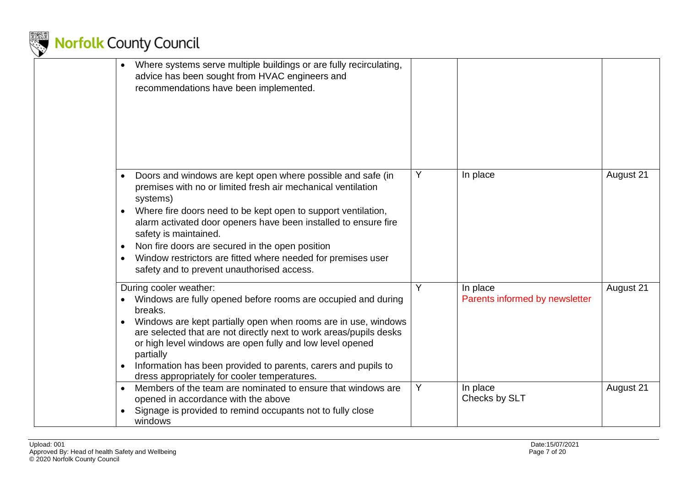

|           | Where systems serve multiple buildings or are fully recirculating,<br>advice has been sought from HVAC engineers and<br>recommendations have been implemented.                                                                                                                                                                                                                                                                                                        |   |                                            |           |
|-----------|-----------------------------------------------------------------------------------------------------------------------------------------------------------------------------------------------------------------------------------------------------------------------------------------------------------------------------------------------------------------------------------------------------------------------------------------------------------------------|---|--------------------------------------------|-----------|
| $\bullet$ | Doors and windows are kept open where possible and safe (in<br>premises with no or limited fresh air mechanical ventilation<br>systems)<br>Where fire doors need to be kept open to support ventilation,<br>alarm activated door openers have been installed to ensure fire<br>safety is maintained.<br>Non fire doors are secured in the open position<br>Window restrictors are fitted where needed for premises user<br>safety and to prevent unauthorised access. | Y | In place                                   | August 21 |
| $\bullet$ | During cooler weather:<br>Windows are fully opened before rooms are occupied and during<br>breaks.<br>Windows are kept partially open when rooms are in use, windows<br>are selected that are not directly next to work areas/pupils desks<br>or high level windows are open fully and low level opened<br>partially<br>Information has been provided to parents, carers and pupils to<br>dress appropriately for cooler temperatures.                                | Y | In place<br>Parents informed by newsletter | August 21 |
|           | Members of the team are nominated to ensure that windows are<br>opened in accordance with the above<br>Signage is provided to remind occupants not to fully close<br>windows                                                                                                                                                                                                                                                                                          | Y | In place<br>Checks by SLT                  | August 21 |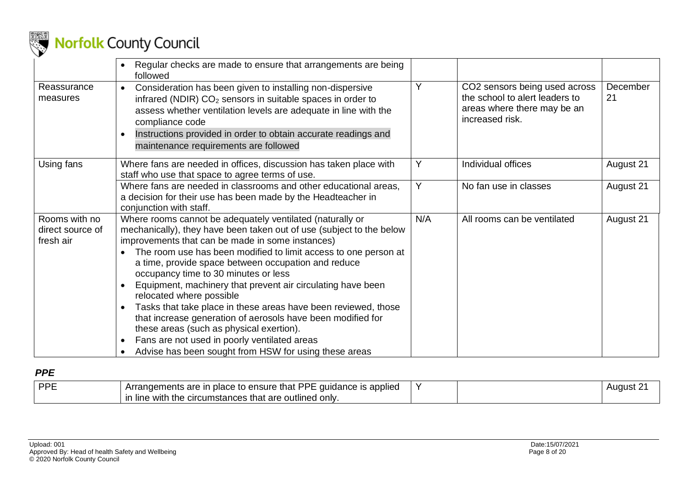

|                                                | Regular checks are made to ensure that arrangements are being<br>followed                                                                                                                                                                                                                                                                                                                                                                                                                                                                                                                                                                                                                                                                             |     |                                                                                                                   |                |
|------------------------------------------------|-------------------------------------------------------------------------------------------------------------------------------------------------------------------------------------------------------------------------------------------------------------------------------------------------------------------------------------------------------------------------------------------------------------------------------------------------------------------------------------------------------------------------------------------------------------------------------------------------------------------------------------------------------------------------------------------------------------------------------------------------------|-----|-------------------------------------------------------------------------------------------------------------------|----------------|
| Reassurance<br>measures                        | Consideration has been given to installing non-dispersive<br>$\bullet$<br>infrared (NDIR) CO <sub>2</sub> sensors in suitable spaces in order to<br>assess whether ventilation levels are adequate in line with the<br>compliance code<br>Instructions provided in order to obtain accurate readings and<br>$\bullet$<br>maintenance requirements are followed                                                                                                                                                                                                                                                                                                                                                                                        | Y   | CO2 sensors being used across<br>the school to alert leaders to<br>areas where there may be an<br>increased risk. | December<br>21 |
| Using fans                                     | Where fans are needed in offices, discussion has taken place with<br>staff who use that space to agree terms of use.                                                                                                                                                                                                                                                                                                                                                                                                                                                                                                                                                                                                                                  | Y   | Individual offices                                                                                                | August 21      |
|                                                | Where fans are needed in classrooms and other educational areas,<br>a decision for their use has been made by the Headteacher in<br>conjunction with staff.                                                                                                                                                                                                                                                                                                                                                                                                                                                                                                                                                                                           | Y   | No fan use in classes                                                                                             | August 21      |
| Rooms with no<br>direct source of<br>fresh air | Where rooms cannot be adequately ventilated (naturally or<br>mechanically), they have been taken out of use (subject to the below<br>improvements that can be made in some instances)<br>The room use has been modified to limit access to one person at<br>a time, provide space between occupation and reduce<br>occupancy time to 30 minutes or less<br>Equipment, machinery that prevent air circulating have been<br>relocated where possible<br>Tasks that take place in these areas have been reviewed, those<br>that increase generation of aerosols have been modified for<br>these areas (such as physical exertion).<br>Fans are not used in poorly ventilated areas<br>$\bullet$<br>Advise has been sought from HSW for using these areas | N/A | All rooms can be ventilated                                                                                       | August 21      |

#### *PPE*

| DDE | that PPE<br>: quidance is applied<br>Arrangements are in<br>n place to ensure. |  | uunis. |
|-----|--------------------------------------------------------------------------------|--|--------|
|     | the<br>circumstances that are outlined<br>`onlv.<br>. line with                |  |        |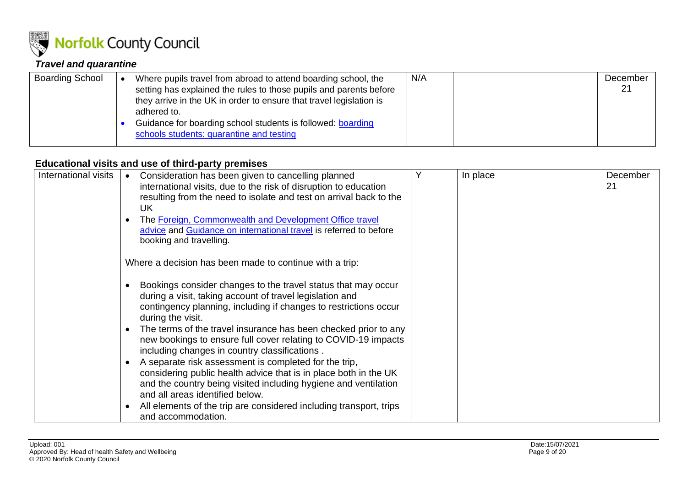

#### *Travel and quarantine*

| <b>Boarding School</b> |  | Where pupils travel from abroad to attend boarding school, the<br>setting has explained the rules to those pupils and parents before<br>they arrive in the UK in order to ensure that travel legislation is<br>adhered to.<br>Guidance for boarding school students is followed: boarding<br>schools students: quarantine and testing | N/A |  | December<br>21 |
|------------------------|--|---------------------------------------------------------------------------------------------------------------------------------------------------------------------------------------------------------------------------------------------------------------------------------------------------------------------------------------|-----|--|----------------|
|------------------------|--|---------------------------------------------------------------------------------------------------------------------------------------------------------------------------------------------------------------------------------------------------------------------------------------------------------------------------------------|-----|--|----------------|

#### **Educational visits and use of third-party premises**

<span id="page-8-0"></span>

| International visits | Consideration has been given to cancelling planned                           | In place | December |
|----------------------|------------------------------------------------------------------------------|----------|----------|
|                      | international visits, due to the risk of disruption to education             |          | 21       |
|                      | resulting from the need to isolate and test on arrival back to the           |          |          |
|                      | UK                                                                           |          |          |
|                      | The Foreign, Commonwealth and Development Office travel                      |          |          |
|                      | advice and Guidance on international travel is referred to before            |          |          |
|                      | booking and travelling.                                                      |          |          |
|                      | Where a decision has been made to continue with a trip:                      |          |          |
|                      |                                                                              |          |          |
|                      | Bookings consider changes to the travel status that may occur                |          |          |
|                      | during a visit, taking account of travel legislation and                     |          |          |
|                      | contingency planning, including if changes to restrictions occur             |          |          |
|                      | during the visit.                                                            |          |          |
|                      | The terms of the travel insurance has been checked prior to any<br>$\bullet$ |          |          |
|                      | new bookings to ensure full cover relating to COVID-19 impacts               |          |          |
|                      | including changes in country classifications.                                |          |          |
|                      | A separate risk assessment is completed for the trip,<br>$\bullet$           |          |          |
|                      | considering public health advice that is in place both in the UK             |          |          |
|                      | and the country being visited including hygiene and ventilation              |          |          |
|                      | and all areas identified below.                                              |          |          |
|                      | All elements of the trip are considered including transport, trips           |          |          |
|                      | and accommodation.                                                           |          |          |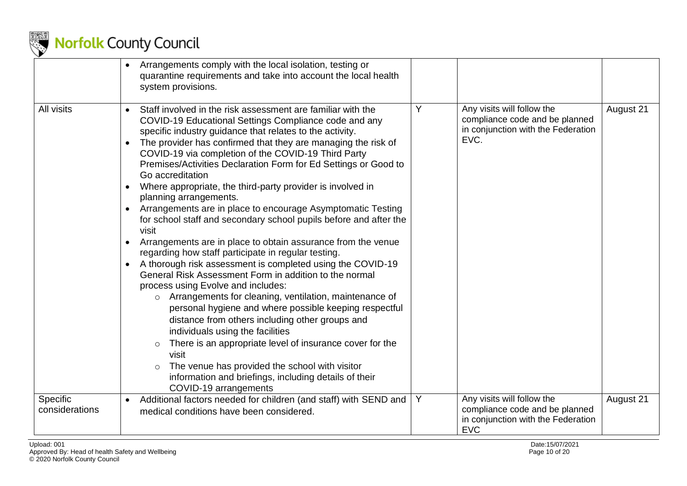

|                            | Arrangements comply with the local isolation, testing or<br>$\bullet$<br>quarantine requirements and take into account the local health<br>system provisions.                                                                                                                                                                                                                                                                                                                                                                                                                                                                                                                                                                                                                                                                                                                                                                                                                                                                                                                                                                                                                                                                                                                                                                                                                                                                        |   |                                                                                                                  |           |
|----------------------------|--------------------------------------------------------------------------------------------------------------------------------------------------------------------------------------------------------------------------------------------------------------------------------------------------------------------------------------------------------------------------------------------------------------------------------------------------------------------------------------------------------------------------------------------------------------------------------------------------------------------------------------------------------------------------------------------------------------------------------------------------------------------------------------------------------------------------------------------------------------------------------------------------------------------------------------------------------------------------------------------------------------------------------------------------------------------------------------------------------------------------------------------------------------------------------------------------------------------------------------------------------------------------------------------------------------------------------------------------------------------------------------------------------------------------------------|---|------------------------------------------------------------------------------------------------------------------|-----------|
| All visits                 | Staff involved in the risk assessment are familiar with the<br>$\bullet$<br>COVID-19 Educational Settings Compliance code and any<br>specific industry guidance that relates to the activity.<br>The provider has confirmed that they are managing the risk of<br>$\bullet$<br>COVID-19 via completion of the COVID-19 Third Party<br>Premises/Activities Declaration Form for Ed Settings or Good to<br>Go accreditation<br>Where appropriate, the third-party provider is involved in<br>$\bullet$<br>planning arrangements.<br>Arrangements are in place to encourage Asymptomatic Testing<br>for school staff and secondary school pupils before and after the<br>visit<br>Arrangements are in place to obtain assurance from the venue<br>$\bullet$<br>regarding how staff participate in regular testing.<br>A thorough risk assessment is completed using the COVID-19<br>$\bullet$<br>General Risk Assessment Form in addition to the normal<br>process using Evolve and includes:<br>Arrangements for cleaning, ventilation, maintenance of<br>$\circ$<br>personal hygiene and where possible keeping respectful<br>distance from others including other groups and<br>individuals using the facilities<br>There is an appropriate level of insurance cover for the<br>$\circ$<br>visit<br>The venue has provided the school with visitor<br>information and briefings, including details of their<br>COVID-19 arrangements | Y | Any visits will follow the<br>compliance code and be planned<br>in conjunction with the Federation<br>EVC.       | August 21 |
| Specific<br>considerations | Additional factors needed for children (and staff) with SEND and<br>$\bullet$<br>medical conditions have been considered.                                                                                                                                                                                                                                                                                                                                                                                                                                                                                                                                                                                                                                                                                                                                                                                                                                                                                                                                                                                                                                                                                                                                                                                                                                                                                                            | Y | Any visits will follow the<br>compliance code and be planned<br>in conjunction with the Federation<br><b>EVC</b> | August 21 |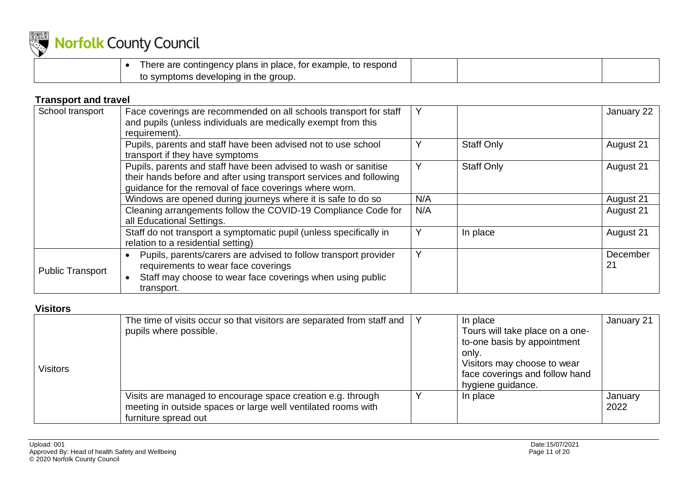

| There are contingency plans in place, for example, to respond |  |  |
|---------------------------------------------------------------|--|--|
| to symptoms developing in the group.                          |  |  |

#### **Transport and travel**

| School transport        | Face coverings are recommended on all schools transport for staff<br>and pupils (unless individuals are medically exempt from this<br>requirement).                                              |     |                   | January 22     |
|-------------------------|--------------------------------------------------------------------------------------------------------------------------------------------------------------------------------------------------|-----|-------------------|----------------|
|                         | Pupils, parents and staff have been advised not to use school<br>transport if they have symptoms                                                                                                 | Y   | <b>Staff Only</b> | August 21      |
|                         | Pupils, parents and staff have been advised to wash or sanitise<br>their hands before and after using transport services and following<br>guidance for the removal of face coverings where worn. |     | <b>Staff Only</b> | August 21      |
|                         | Windows are opened during journeys where it is safe to do so                                                                                                                                     | N/A |                   | August 21      |
|                         | Cleaning arrangements follow the COVID-19 Compliance Code for<br>all Educational Settings.                                                                                                       | N/A |                   | August 21      |
|                         | Staff do not transport a symptomatic pupil (unless specifically in<br>relation to a residential setting)                                                                                         | Y   | In place          | August 21      |
| <b>Public Transport</b> | Pupils, parents/carers are advised to follow transport provider<br>requirements to wear face coverings<br>Staff may choose to wear face coverings when using public<br>transport.                | Y   |                   | December<br>21 |

#### **Visitors**

| <b>Visitors</b> | The time of visits occur so that visitors are separated from staff and<br>pupils where possible.                                                     | In place<br>Tours will take place on a one-<br>to-one basis by appointment<br>only.<br>Visitors may choose to wear<br>face coverings and follow hand<br>hygiene guidance. | January 21      |
|-----------------|------------------------------------------------------------------------------------------------------------------------------------------------------|---------------------------------------------------------------------------------------------------------------------------------------------------------------------------|-----------------|
|                 | Visits are managed to encourage space creation e.g. through<br>meeting in outside spaces or large well ventilated rooms with<br>furniture spread out | In place                                                                                                                                                                  | January<br>2022 |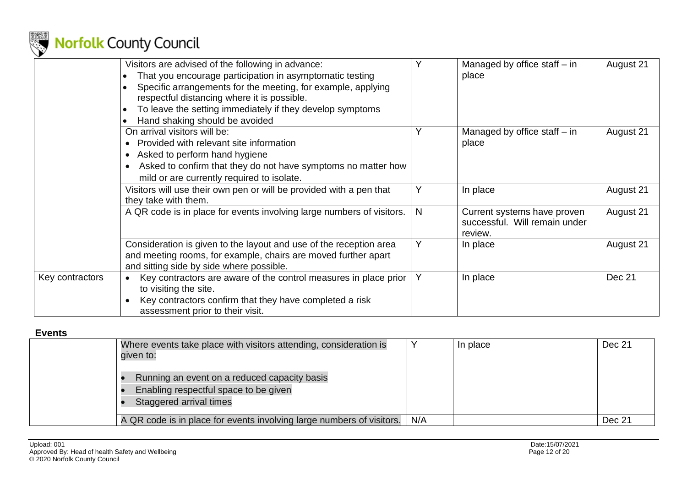

|                 | Visitors are advised of the following in advance:<br>That you encourage participation in asymptomatic testing                                                                    |              | Managed by office staff – in<br>place                                   | August 21 |
|-----------------|----------------------------------------------------------------------------------------------------------------------------------------------------------------------------------|--------------|-------------------------------------------------------------------------|-----------|
|                 | Specific arrangements for the meeting, for example, applying<br>respectful distancing where it is possible.                                                                      |              |                                                                         |           |
|                 | To leave the setting immediately if they develop symptoms                                                                                                                        |              |                                                                         |           |
|                 | Hand shaking should be avoided                                                                                                                                                   |              |                                                                         |           |
|                 | On arrival visitors will be:                                                                                                                                                     |              | Managed by office staff $-$ in                                          | August 21 |
|                 | Provided with relevant site information                                                                                                                                          |              | place                                                                   |           |
|                 | Asked to perform hand hygiene<br>$\bullet$                                                                                                                                       |              |                                                                         |           |
|                 | Asked to confirm that they do not have symptoms no matter how                                                                                                                    |              |                                                                         |           |
|                 | mild or are currently required to isolate.                                                                                                                                       |              |                                                                         |           |
|                 | Visitors will use their own pen or will be provided with a pen that                                                                                                              | Y            | In place                                                                | August 21 |
|                 | they take with them.                                                                                                                                                             |              |                                                                         |           |
|                 | A QR code is in place for events involving large numbers of visitors.                                                                                                            | $\mathsf{N}$ | Current systems have proven<br>successful. Will remain under<br>review. | August 21 |
|                 | Consideration is given to the layout and use of the reception area<br>and meeting rooms, for example, chairs are moved further apart<br>and sitting side by side where possible. | Y            | In place                                                                | August 21 |
| Key contractors | Key contractors are aware of the control measures in place prior<br>to visiting the site.                                                                                        | Υ            | In place                                                                | Dec 21    |
|                 | Key contractors confirm that they have completed a risk<br>$\bullet$<br>assessment prior to their visit.                                                                         |              |                                                                         |           |

#### **Events**

<span id="page-11-0"></span>

| Where events take place with visitors attending, consideration is<br>given to:                                   |     | In place | Dec 21 |
|------------------------------------------------------------------------------------------------------------------|-----|----------|--------|
| Running an event on a reduced capacity basis<br>Enabling respectful space to be given<br>Staggered arrival times |     |          |        |
| A QR code is in place for events involving large numbers of visitors.                                            | N/A |          | Dec 21 |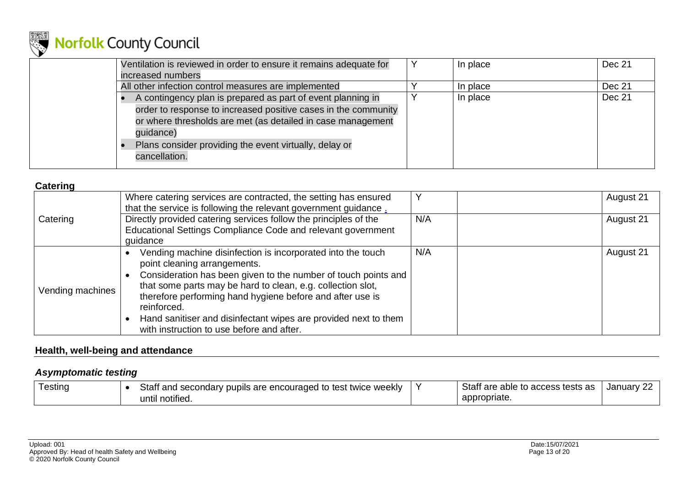

| Ventilation is reviewed in order to ensure it remains adequate for<br>increased numbers                                                                                                                                                                                              | Y | In place | Dec 21 |
|--------------------------------------------------------------------------------------------------------------------------------------------------------------------------------------------------------------------------------------------------------------------------------------|---|----------|--------|
| All other infection control measures are implemented                                                                                                                                                                                                                                 |   | In place | Dec 21 |
| A contingency plan is prepared as part of event planning in<br>order to response to increased positive cases in the community<br>or where thresholds are met (as detailed in case management<br>guidance)<br>Plans consider providing the event virtually, delay or<br>cancellation. |   | In place | Dec 21 |

| ––––––––         |                                                                                                                                    |     |           |
|------------------|------------------------------------------------------------------------------------------------------------------------------------|-----|-----------|
|                  | Where catering services are contracted, the setting has ensured<br>that the service is following the relevant government guidance. |     | August 21 |
|                  |                                                                                                                                    |     |           |
| Catering         | Directly provided catering services follow the principles of the                                                                   | N/A | August 21 |
|                  | Educational Settings Compliance Code and relevant government                                                                       |     |           |
|                  | quidance                                                                                                                           |     |           |
|                  | Vending machine disinfection is incorporated into the touch                                                                        | N/A | August 21 |
|                  | point cleaning arrangements.                                                                                                       |     |           |
|                  | Consideration has been given to the number of touch points and                                                                     |     |           |
|                  | that some parts may be hard to clean, e.g. collection slot,                                                                        |     |           |
| Vending machines | therefore performing hand hygiene before and after use is                                                                          |     |           |
|                  |                                                                                                                                    |     |           |
|                  | reinforced.                                                                                                                        |     |           |
|                  | Hand sanitiser and disinfectant wipes are provided next to them                                                                    |     |           |
|                  | with instruction to use before and after.                                                                                          |     |           |

#### **Health, well-being and attendance**

#### *Asymptomatic testing*

| ∣estinc | Staf<br>i test twice weekly<br>t and secondary pupils are encouraged to t | Staff are able to access tests as | Januarv |
|---------|---------------------------------------------------------------------------|-----------------------------------|---------|
|         | .<br>notified.<br>until                                                   | appropriate.                      |         |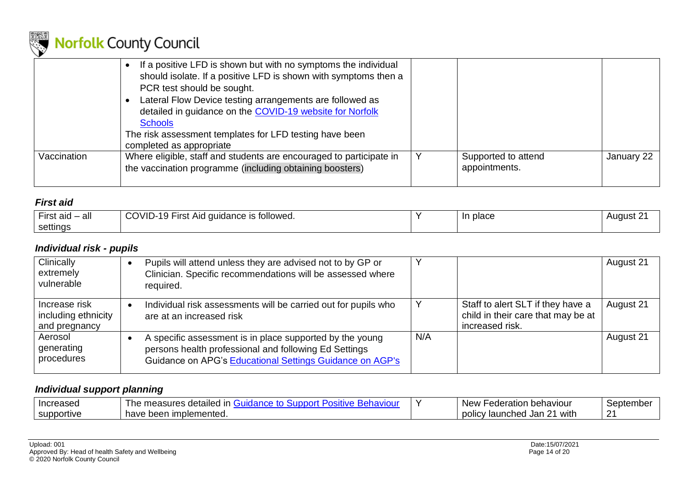

|             | If a positive LFD is shown but with no symptoms the individual<br>should isolate. If a positive LFD is shown with symptoms then a<br>PCR test should be sought.<br>Lateral Flow Device testing arrangements are followed as<br>detailed in guidance on the COVID-19 website for Norfolk<br><b>Schools</b><br>The risk assessment templates for LFD testing have been<br>completed as appropriate |                                      |            |
|-------------|--------------------------------------------------------------------------------------------------------------------------------------------------------------------------------------------------------------------------------------------------------------------------------------------------------------------------------------------------------------------------------------------------|--------------------------------------|------------|
| Vaccination | Where eligible, staff and students are encouraged to participate in<br>the vaccination programme (including obtaining boosters)                                                                                                                                                                                                                                                                  | Supported to attend<br>appointments. | January 22 |

#### *First aid*

| $-$<br>all<br>⊢ırst<br>. aid | OVID-1<br>If First Aid guidance is followed.<br>וטו<br>. J | ı place | August 2 |
|------------------------------|------------------------------------------------------------|---------|----------|
| settings                     |                                                            |         |          |

#### *Individual risk - pupils*

| Clinically<br>extremely<br>vulnerable                 | Pupils will attend unless they are advised not to by GP or<br>Clinician. Specific recommendations will be assessed where<br>required.                                         |     |                                                                                            | August 21 |
|-------------------------------------------------------|-------------------------------------------------------------------------------------------------------------------------------------------------------------------------------|-----|--------------------------------------------------------------------------------------------|-----------|
| Increase risk<br>including ethnicity<br>and pregnancy | Individual risk assessments will be carried out for pupils who<br>are at an increased risk                                                                                    |     | Staff to alert SLT if they have a<br>child in their care that may be at<br>increased risk. | August 21 |
| Aerosol<br>generating<br>procedures                   | A specific assessment is in place supported by the young<br>persons health professional and following Ed Settings<br>Guidance on APG's Educational Settings Guidance on AGP's | N/A |                                                                                            | August 21 |

#### *Individual support planning*

| Increased  | <br>sures<br>detailed<br>-in<br>m.<br>viour<br>$-10$ | <b>NAW</b><br>, behaviour<br>Federation<br>vv v           | Septembe |
|------------|------------------------------------------------------|-----------------------------------------------------------|----------|
| supportive | implemented.<br>have<br>hoor<br>weer                 | - -<br>with<br><b>DOIICV</b><br>launched<br>Jan<br>$\sim$ | ົົົ<br>_ |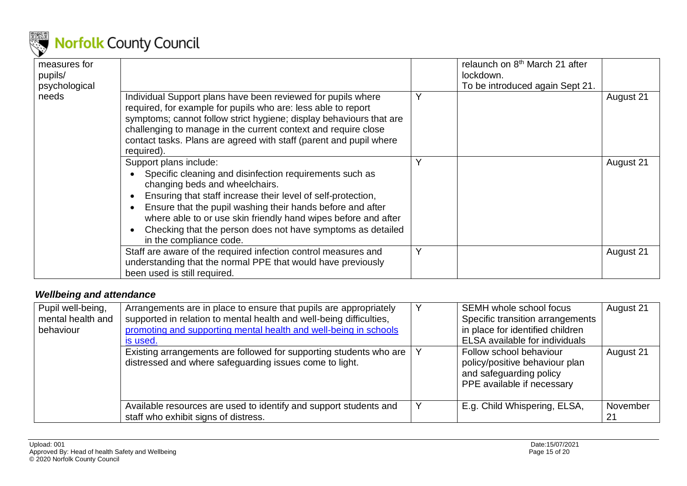

| measures for<br>pupils/<br>psychological |                                                                                                                                                                                                                                                                                                                                                                                                               |   | relaunch on 8 <sup>th</sup> March 21 after<br>lockdown.<br>To be introduced again Sept 21. |           |
|------------------------------------------|---------------------------------------------------------------------------------------------------------------------------------------------------------------------------------------------------------------------------------------------------------------------------------------------------------------------------------------------------------------------------------------------------------------|---|--------------------------------------------------------------------------------------------|-----------|
| needs                                    | Individual Support plans have been reviewed for pupils where<br>required, for example for pupils who are: less able to report<br>symptoms; cannot follow strict hygiene; display behaviours that are<br>challenging to manage in the current context and require close<br>contact tasks. Plans are agreed with staff (parent and pupil where<br>required).                                                    | Y |                                                                                            | August 21 |
|                                          | Support plans include:<br>Specific cleaning and disinfection requirements such as<br>changing beds and wheelchairs.<br>Ensuring that staff increase their level of self-protection,<br>Ensure that the pupil washing their hands before and after<br>where able to or use skin friendly hand wipes before and after<br>Checking that the person does not have symptoms as detailed<br>in the compliance code. |   |                                                                                            | August 21 |
|                                          | Staff are aware of the required infection control measures and<br>understanding that the normal PPE that would have previously<br>been used is still required.                                                                                                                                                                                                                                                |   |                                                                                            | August 21 |

#### *Wellbeing and attendance*

| Pupil well-being,<br>mental health and<br>behaviour | Arrangements are in place to ensure that pupils are appropriately<br>supported in relation to mental health and well-being difficulties,<br>promoting and supporting mental health and well-being in schools<br>is used. | SEMH whole school focus<br>Specific transition arrangements<br>in place for identified children<br><b>ELSA</b> available for individuals | August 21      |
|-----------------------------------------------------|--------------------------------------------------------------------------------------------------------------------------------------------------------------------------------------------------------------------------|------------------------------------------------------------------------------------------------------------------------------------------|----------------|
|                                                     | Existing arrangements are followed for supporting students who are<br>distressed and where safeguarding issues come to light.                                                                                            | Follow school behaviour<br>policy/positive behaviour plan<br>and safeguarding policy<br>PPE available if necessary                       | August 21      |
|                                                     | Available resources are used to identify and support students and<br>staff who exhibit signs of distress.                                                                                                                | E.g. Child Whispering, ELSA,                                                                                                             | November<br>21 |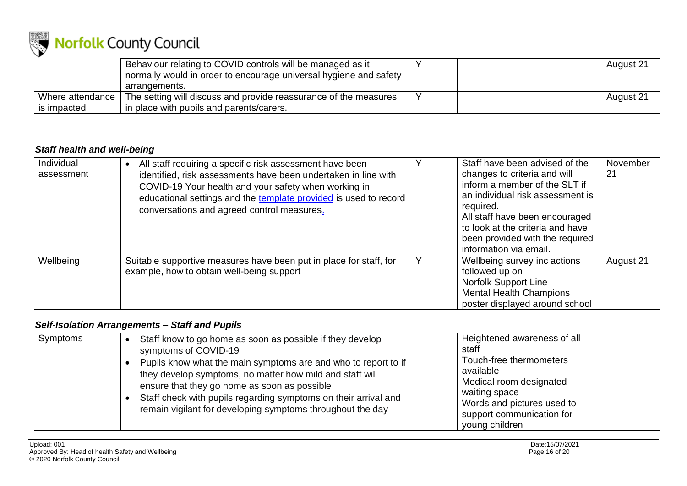

|                  | Behaviour relating to COVID controls will be managed as it<br>normally would in order to encourage universal hygiene and safety |  | August 21 |
|------------------|---------------------------------------------------------------------------------------------------------------------------------|--|-----------|
|                  | arrangements.                                                                                                                   |  |           |
| Where attendance | The setting will discuss and provide reassurance of the measures                                                                |  | August 21 |
| is impacted      | in place with pupils and parents/carers.                                                                                        |  |           |

#### *Staff health and well-being*

| Individual<br>assessment | All staff requiring a specific risk assessment have been<br>identified, risk assessments have been undertaken in line with<br>COVID-19 Your health and your safety when working in<br>educational settings and the template provided is used to record<br>conversations and agreed control measures. |   | Staff have been advised of the<br>changes to criteria and will<br>inform a member of the SLT if<br>an individual risk assessment is<br>required.<br>All staff have been encouraged<br>to look at the criteria and have<br>been provided with the required<br>information via email. | November<br>21 |
|--------------------------|------------------------------------------------------------------------------------------------------------------------------------------------------------------------------------------------------------------------------------------------------------------------------------------------------|---|-------------------------------------------------------------------------------------------------------------------------------------------------------------------------------------------------------------------------------------------------------------------------------------|----------------|
| Wellbeing                | Suitable supportive measures have been put in place for staff, for<br>example, how to obtain well-being support                                                                                                                                                                                      | Y | Wellbeing survey inc actions<br>followed up on<br><b>Norfolk Support Line</b><br><b>Mental Health Champions</b><br>poster displayed around school                                                                                                                                   | August 21      |

#### *Self-Isolation Arrangements – Staff and Pupils*

| Symptoms | Staff know to go home as soon as possible if they develop<br>symptoms of COVID-19<br>Pupils know what the main symptoms are and who to report to if<br>they develop symptoms, no matter how mild and staff will<br>ensure that they go home as soon as possible<br>Staff check with pupils regarding symptoms on their arrival and<br>remain vigilant for developing symptoms throughout the day | Heightened awareness of all<br>staff<br>Touch-free thermometers<br>available<br>Medical room designated<br>waiting space<br>Words and pictures used to<br>support communication for<br>young children |
|----------|--------------------------------------------------------------------------------------------------------------------------------------------------------------------------------------------------------------------------------------------------------------------------------------------------------------------------------------------------------------------------------------------------|-------------------------------------------------------------------------------------------------------------------------------------------------------------------------------------------------------|
|----------|--------------------------------------------------------------------------------------------------------------------------------------------------------------------------------------------------------------------------------------------------------------------------------------------------------------------------------------------------------------------------------------------------|-------------------------------------------------------------------------------------------------------------------------------------------------------------------------------------------------------|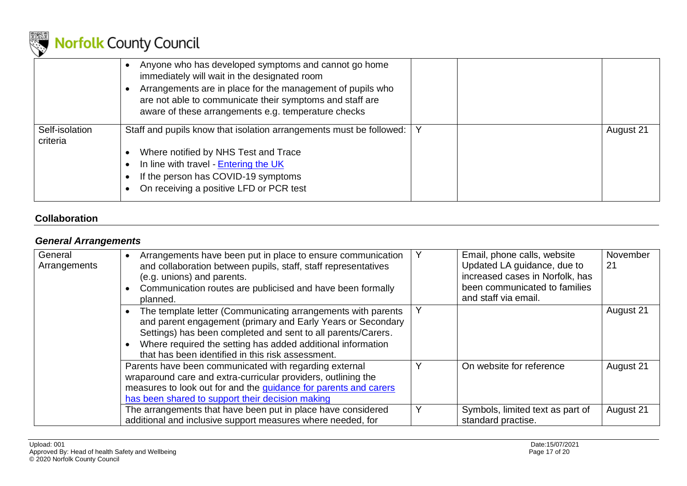

|                            | Anyone who has developed symptoms and cannot go home<br>immediately will wait in the designated room<br>Arrangements are in place for the management of pupils who<br>are not able to communicate their symptoms and staff are<br>aware of these arrangements e.g. temperature checks |  |           |
|----------------------------|---------------------------------------------------------------------------------------------------------------------------------------------------------------------------------------------------------------------------------------------------------------------------------------|--|-----------|
| Self-isolation<br>criteria | Staff and pupils know that isolation arrangements must be followed:<br>Where notified by NHS Test and Trace<br>In line with travel - Entering the UK<br>If the person has COVID-19 symptoms<br>On receiving a positive LFD or PCR test                                                |  | August 21 |

#### **Collaboration**

#### *General Arrangements*

| General<br>Arrangements | Arrangements have been put in place to ensure communication<br>and collaboration between pupils, staff, staff representatives<br>(e.g. unions) and parents.<br>Communication routes are publicised and have been formally<br>planned.                                                                           | Email, phone calls, website<br>Updated LA guidance, due to<br>increased cases in Norfolk, has<br>been communicated to families<br>and staff via email. | November<br>21 |
|-------------------------|-----------------------------------------------------------------------------------------------------------------------------------------------------------------------------------------------------------------------------------------------------------------------------------------------------------------|--------------------------------------------------------------------------------------------------------------------------------------------------------|----------------|
|                         | The template letter (Communicating arrangements with parents<br>and parent engagement (primary and Early Years or Secondary<br>Settings) has been completed and sent to all parents/Carers.<br>Where required the setting has added additional information<br>that has been identified in this risk assessment. |                                                                                                                                                        | August 21      |
|                         | Parents have been communicated with regarding external<br>wraparound care and extra-curricular providers, outlining the<br>measures to look out for and the guidance for parents and carers<br>has been shared to support their decision making                                                                 | On website for reference                                                                                                                               | August 21      |
|                         | The arrangements that have been put in place have considered<br>additional and inclusive support measures where needed, for                                                                                                                                                                                     | Symbols, limited text as part of<br>standard practise.                                                                                                 | August 21      |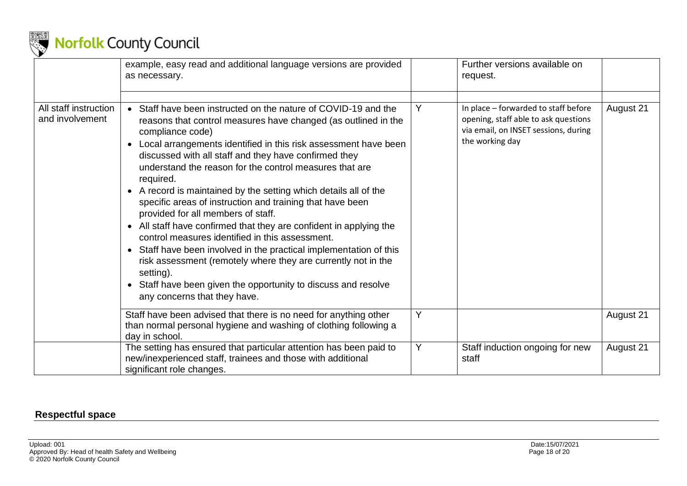

|                                          | example, easy read and additional language versions are provided<br>as necessary.                                                                                                                                                                                                                                                                                                                                                                                                                                                                                                                                                                                                                                                                                                                                                                                                                                                                                       |   | Further versions available on<br>request.                                                                                               |           |
|------------------------------------------|-------------------------------------------------------------------------------------------------------------------------------------------------------------------------------------------------------------------------------------------------------------------------------------------------------------------------------------------------------------------------------------------------------------------------------------------------------------------------------------------------------------------------------------------------------------------------------------------------------------------------------------------------------------------------------------------------------------------------------------------------------------------------------------------------------------------------------------------------------------------------------------------------------------------------------------------------------------------------|---|-----------------------------------------------------------------------------------------------------------------------------------------|-----------|
| All staff instruction<br>and involvement | Staff have been instructed on the nature of COVID-19 and the<br>$\bullet$<br>reasons that control measures have changed (as outlined in the<br>compliance code)<br>Local arrangements identified in this risk assessment have been<br>$\bullet$<br>discussed with all staff and they have confirmed they<br>understand the reason for the control measures that are<br>required.<br>• A record is maintained by the setting which details all of the<br>specific areas of instruction and training that have been<br>provided for all members of staff.<br>All staff have confirmed that they are confident in applying the<br>$\bullet$<br>control measures identified in this assessment.<br>Staff have been involved in the practical implementation of this<br>$\bullet$<br>risk assessment (remotely where they are currently not in the<br>setting).<br>Staff have been given the opportunity to discuss and resolve<br>$\bullet$<br>any concerns that they have. | Υ | In place - forwarded to staff before<br>opening, staff able to ask questions<br>via email, on INSET sessions, during<br>the working day | August 21 |
|                                          | Staff have been advised that there is no need for anything other<br>than normal personal hygiene and washing of clothing following a<br>day in school.                                                                                                                                                                                                                                                                                                                                                                                                                                                                                                                                                                                                                                                                                                                                                                                                                  | Υ |                                                                                                                                         | August 21 |
|                                          | The setting has ensured that particular attention has been paid to<br>new/inexperienced staff, trainees and those with additional<br>significant role changes.                                                                                                                                                                                                                                                                                                                                                                                                                                                                                                                                                                                                                                                                                                                                                                                                          | Y | Staff induction ongoing for new<br>staff                                                                                                | August 21 |

#### **Respectful space**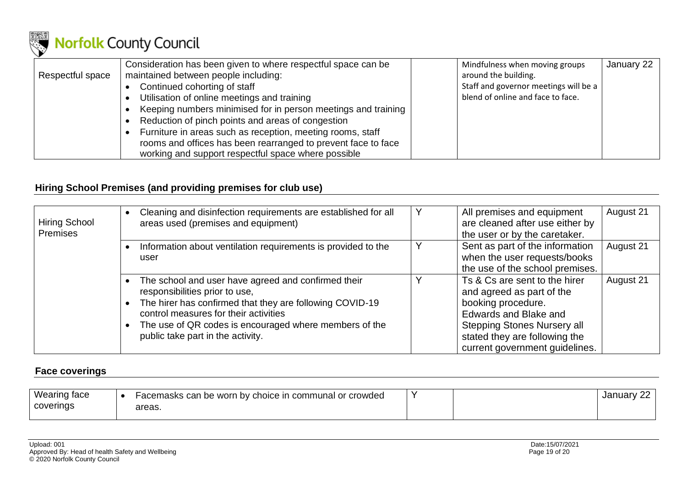

|                  | Consideration has been given to where respectful space can be | Mindfulness when moving groups        | January 22 |
|------------------|---------------------------------------------------------------|---------------------------------------|------------|
| Respectful space | maintained between people including:                          | around the building.                  |            |
|                  | Continued cohorting of staff                                  | Staff and governor meetings will be a |            |
|                  | Utilisation of online meetings and training                   | blend of online and face to face.     |            |
|                  | Keeping numbers minimised for in person meetings and training |                                       |            |
|                  | Reduction of pinch points and areas of congestion             |                                       |            |
|                  | Furniture in areas such as reception, meeting rooms, staff    |                                       |            |
|                  | rooms and offices has been rearranged to prevent face to face |                                       |            |
|                  | working and support respectful space where possible           |                                       |            |

#### **Hiring School Premises (and providing premises for club use)**

| <b>Hiring School</b><br><b>Premises</b> | Cleaning and disinfection requirements are established for all<br>areas used (premises and equipment)                                                                                                                                                                                     | v | All premises and equipment<br>are cleaned after use either by<br>the user or by the caretaker.                                                                                                                     | August 21 |
|-----------------------------------------|-------------------------------------------------------------------------------------------------------------------------------------------------------------------------------------------------------------------------------------------------------------------------------------------|---|--------------------------------------------------------------------------------------------------------------------------------------------------------------------------------------------------------------------|-----------|
|                                         | Information about ventilation requirements is provided to the<br>user                                                                                                                                                                                                                     | v | Sent as part of the information<br>when the user requests/books<br>the use of the school premises.                                                                                                                 | August 21 |
|                                         | The school and user have agreed and confirmed their<br>responsibilities prior to use,<br>The hirer has confirmed that they are following COVID-19<br>control measures for their activities<br>The use of QR codes is encouraged where members of the<br>public take part in the activity. |   | Ts & Cs are sent to the hirer<br>and agreed as part of the<br>booking procedure.<br>Edwards and Blake and<br><b>Stepping Stones Nursery all</b><br>stated they are following the<br>current government guidelines. | August 21 |

#### **Face coverings**

<span id="page-18-0"></span>

| Wearing face | Facemasks can be worn by choice in communal or crowded |  | January |
|--------------|--------------------------------------------------------|--|---------|
| coverings    | areas.                                                 |  |         |
|              |                                                        |  |         |